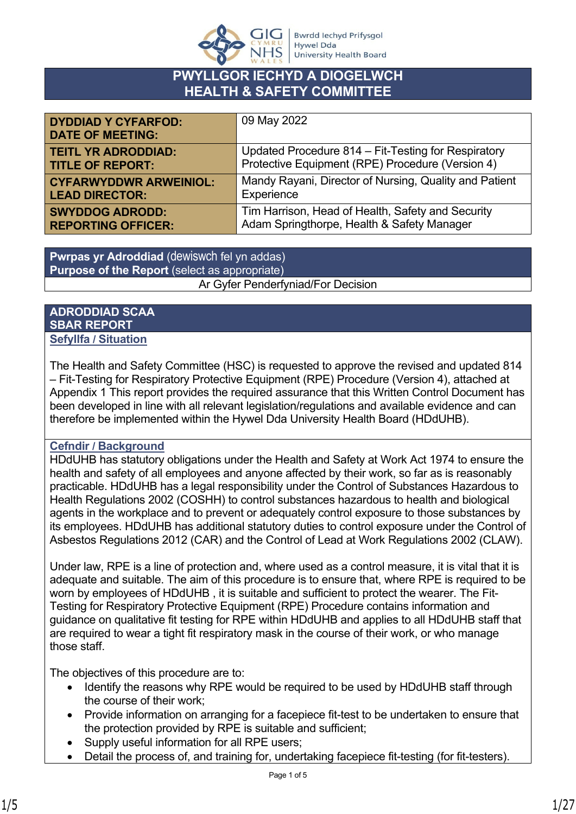

#### **PWYLLGOR IECHYD A DIOGELWCH HEALTH & SAFETY COMMITTEE**

| <b>DYDDIAD Y CYFARFOD:</b><br><b>DATE OF MEETING:</b> | 09 May 2022                                            |
|-------------------------------------------------------|--------------------------------------------------------|
| <b>TEITL YR ADRODDIAD:</b>                            | Updated Procedure 814 – Fit-Testing for Respiratory    |
| <b>TITLE OF REPORT:</b>                               | Protective Equipment (RPE) Procedure (Version 4)       |
| <b>CYFARWYDDWR ARWEINIOL:</b>                         | Mandy Rayani, Director of Nursing, Quality and Patient |
| <b>LEAD DIRECTOR:</b>                                 | Experience                                             |
| <b>SWYDDOG ADRODD:</b>                                | Tim Harrison, Head of Health, Safety and Security      |
| <b>REPORTING OFFICER:</b>                             | Adam Springthorpe, Health & Safety Manager             |

**Pwrpas yr Adroddiad** (dewiswch fel yn addas) **Purpose of the Report** (select as appropriate) Ar Gyfer Penderfyniad/For Decision

#### **ADRODDIAD SCAA SBAR REPORT Sefyllfa / Situation**

The Health and Safety Committee (HSC) is requested to approve the revised and updated 814 – Fit-Testing for Respiratory Protective Equipment (RPE) Procedure (Version 4), attached at Appendix 1 This report provides the required assurance that this Written Control Document has been developed in line with all relevant legislation/regulations and available evidence and can therefore be implemented within the Hywel Dda University Health Board (HDdUHB).

#### **Cefndir / Background**

HDdUHB has statutory obligations under the Health and Safety at Work Act 1974 to ensure the health and safety of all employees and anyone affected by their work, so far as is reasonably practicable. HDdUHB has a legal responsibility under the Control of Substances Hazardous to Health Regulations 2002 (COSHH) to control substances hazardous to health and biological agents in the workplace and to prevent or adequately control exposure to those substances by its employees. HDdUHB has additional statutory duties to control exposure under the Control of Asbestos Regulations 2012 (CAR) and the Control of Lead at Work Regulations 2002 (CLAW).

Under law, RPE is a line of protection and, where used as a control measure, it is vital that it is adequate and suitable. The aim of this procedure is to ensure that, where RPE is required to be worn by employees of HDdUHB , it is suitable and sufficient to protect the wearer. The Fit-Testing for Respiratory Protective Equipment (RPE) Procedure contains information and guidance on qualitative fit testing for RPE within HDdUHB and applies to all HDdUHB staff that are required to wear a tight fit respiratory mask in the course of their work, or who manage those staff.

The objectives of this procedure are to:

- Identify the reasons why RPE would be required to be used by HDdUHB staff through the course of their work;
- Provide information on arranging for a facepiece fit-test to be undertaken to ensure that the protection provided by RPE is suitable and sufficient;
- Supply useful information for all RPE users;
- Detail the process of, and training for, undertaking facepiece fit-testing (for fit-testers).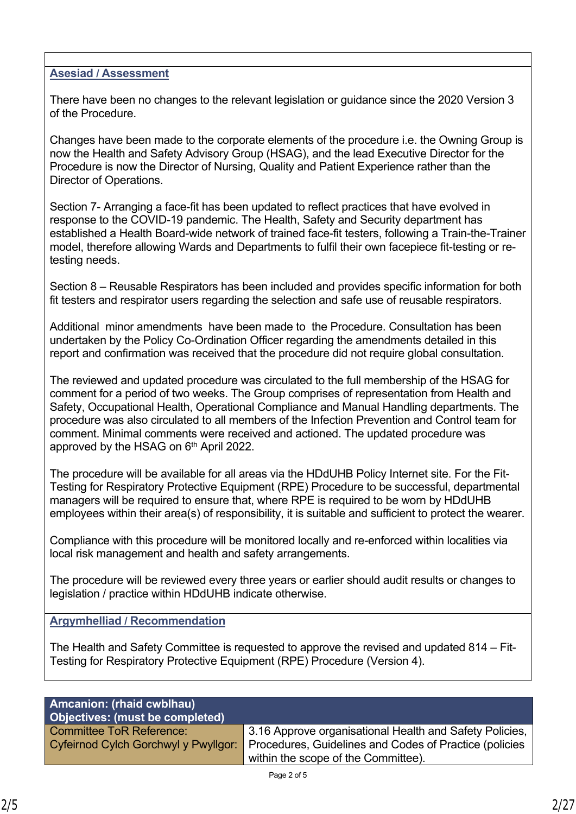#### **Asesiad / Assessment**

There have been no changes to the relevant legislation or guidance since the 2020 Version 3 of the Procedure.

Changes have been made to the corporate elements of the procedure i.e. the Owning Group is now the Health and Safety Advisory Group (HSAG), and the lead Executive Director for the Procedure is now the Director of Nursing, Quality and Patient Experience rather than the Director of Operations.

Section 7- Arranging a face-fit has been updated to reflect practices that have evolved in response to the COVID-19 pandemic. The Health, Safety and Security department has established a Health Board-wide network of trained face-fit testers, following a Train-the-Trainer model, therefore allowing Wards and Departments to fulfil their own facepiece fit-testing or retesting needs.

Section 8 – Reusable Respirators has been included and provides specific information for both fit testers and respirator users regarding the selection and safe use of reusable respirators.

Additional minor amendments have been made to the Procedure. Consultation has been undertaken by the Policy Co-Ordination Officer regarding the amendments detailed in this report and confirmation was received that the procedure did not require global consultation.

The reviewed and updated procedure was circulated to the full membership of the HSAG for comment for a period of two weeks. The Group comprises of representation from Health and Safety, Occupational Health, Operational Compliance and Manual Handling departments. The procedure was also circulated to all members of the Infection Prevention and Control team for comment. Minimal comments were received and actioned. The updated procedure was approved by the HSAG on 6<sup>th</sup> April 2022.

The procedure will be available for all areas via the HDdUHB Policy Internet site. For the Fit-Testing for Respiratory Protective Equipment (RPE) Procedure to be successful, departmental managers will be required to ensure that, where RPE is required to be worn by HDdUHB employees within their area(s) of responsibility, it is suitable and sufficient to protect the wearer.

Compliance with this procedure will be monitored locally and re-enforced within localities via local risk management and health and safety arrangements.

The procedure will be reviewed every three years or earlier should audit results or changes to legislation / practice within HDdUHB indicate otherwise.

#### **Argymhelliad / Recommendation**

The Health and Safety Committee is requested to approve the revised and updated 814 – Fit-Testing for Respiratory Protective Equipment (RPE) Procedure (Version 4).

| <b>Amcanion: (rhaid cwblhau)</b><br>Objectives: (must be completed) |                                                                                                                                                                                               |
|---------------------------------------------------------------------|-----------------------------------------------------------------------------------------------------------------------------------------------------------------------------------------------|
| <b>Committee ToR Reference:</b>                                     | 3.16 Approve organisational Health and Safety Policies,<br>Cyfeirnod Cylch Gorchwyl y Pwyllgor: Procedures, Guidelines and Codes of Practice (policies<br>within the scope of the Committee). |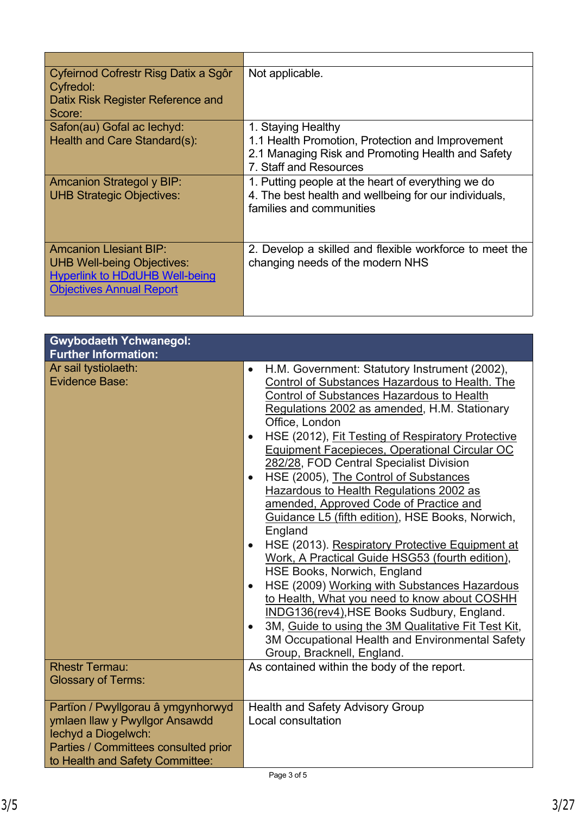| Cyfeirnod Cofrestr Risg Datix a Sgôr<br>Cyfredol:<br>Datix Risk Register Reference and<br>Score:                                               | Not applicable.                                                                                                                                       |
|------------------------------------------------------------------------------------------------------------------------------------------------|-------------------------------------------------------------------------------------------------------------------------------------------------------|
| Safon(au) Gofal ac lechyd:<br>Health and Care Standard(s):                                                                                     | 1. Staying Healthy<br>1.1 Health Promotion, Protection and Improvement<br>2.1 Managing Risk and Promoting Health and Safety<br>7. Staff and Resources |
| <b>Amcanion Strategol y BIP:</b><br><b>UHB Strategic Objectives:</b>                                                                           | 1. Putting people at the heart of everything we do<br>4. The best health and wellbeing for our individuals,<br>families and communities               |
| <b>Amcanion Llesiant BIP:</b><br><b>UHB Well-being Objectives:</b><br><b>Hyperlink to HDdUHB Well-being</b><br><b>Objectives Annual Report</b> | 2. Develop a skilled and flexible workforce to meet the<br>changing needs of the modern NHS                                                           |

| <b>Gwybodaeth Ychwanegol:</b><br><b>Further Information:</b>                                                                                                           |                                                                                                                                                                                                                                                                                                                                                                                                                                                                                                                                                                                                                                                                                                                                                                                                                                                                                                                                                                                                                                                                 |
|------------------------------------------------------------------------------------------------------------------------------------------------------------------------|-----------------------------------------------------------------------------------------------------------------------------------------------------------------------------------------------------------------------------------------------------------------------------------------------------------------------------------------------------------------------------------------------------------------------------------------------------------------------------------------------------------------------------------------------------------------------------------------------------------------------------------------------------------------------------------------------------------------------------------------------------------------------------------------------------------------------------------------------------------------------------------------------------------------------------------------------------------------------------------------------------------------------------------------------------------------|
| Ar sail tystiolaeth:<br><b>Evidence Base:</b>                                                                                                                          | H.M. Government: Statutory Instrument (2002),<br>$\bullet$<br>Control of Substances Hazardous to Health. The<br><b>Control of Substances Hazardous to Health</b><br>Regulations 2002 as amended, H.M. Stationary<br>Office, London<br>HSE (2012), Fit Testing of Respiratory Protective<br>$\bullet$<br>Equipment Facepieces, Operational Circular OC<br>282/28, FOD Central Specialist Division<br>HSE (2005), The Control of Substances<br>$\bullet$<br>Hazardous to Health Regulations 2002 as<br>amended, Approved Code of Practice and<br>Guidance L5 (fifth edition), HSE Books, Norwich,<br>England<br>HSE (2013). Respiratory Protective Equipment at<br>$\bullet$<br>Work, A Practical Guide HSG53 (fourth edition),<br>HSE Books, Norwich, England<br>HSE (2009) Working with Substances Hazardous<br>$\bullet$<br>to Health, What you need to know about COSHH<br>INDG136(rev4), HSE Books Sudbury, England.<br>3M, Guide to using the 3M Qualitative Fit Test Kit,<br>3M Occupational Health and Environmental Safety<br>Group, Bracknell, England. |
| <b>Rhestr Termau:</b><br><b>Glossary of Terms:</b>                                                                                                                     | As contained within the body of the report.                                                                                                                                                                                                                                                                                                                                                                                                                                                                                                                                                                                                                                                                                                                                                                                                                                                                                                                                                                                                                     |
| Partïon / Pwyllgorau â ymgynhorwyd<br>ymlaen llaw y Pwyllgor Ansawdd<br>lechyd a Diogelwch:<br>Parties / Committees consulted prior<br>to Health and Safety Committee: | <b>Health and Safety Advisory Group</b><br>Local consultation                                                                                                                                                                                                                                                                                                                                                                                                                                                                                                                                                                                                                                                                                                                                                                                                                                                                                                                                                                                                   |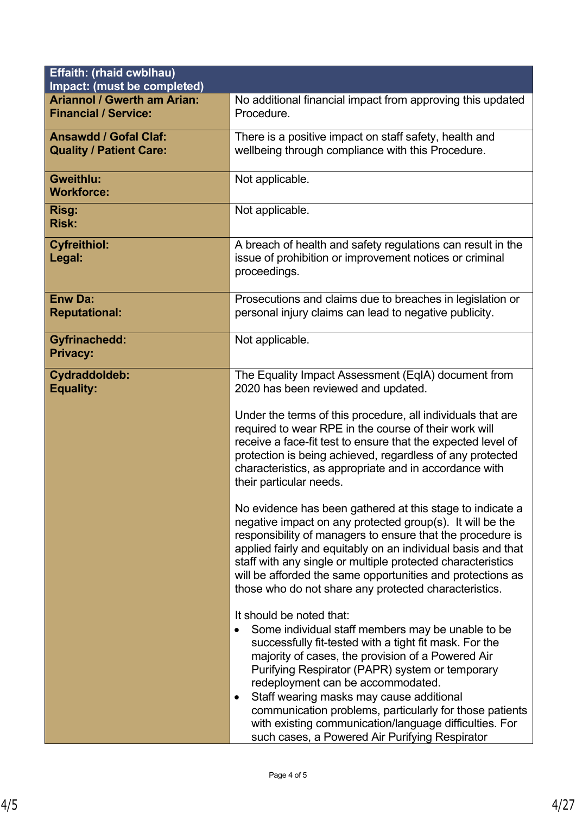| Effaith: (rhaid cwblhau)                                          |                                                                                                                                                                                                                                                                                                                                                                                                                                                                                                                                                                                                                                                                                                    |  |
|-------------------------------------------------------------------|----------------------------------------------------------------------------------------------------------------------------------------------------------------------------------------------------------------------------------------------------------------------------------------------------------------------------------------------------------------------------------------------------------------------------------------------------------------------------------------------------------------------------------------------------------------------------------------------------------------------------------------------------------------------------------------------------|--|
| Impact: (must be completed)<br><b>Ariannol / Gwerth am Arian:</b> |                                                                                                                                                                                                                                                                                                                                                                                                                                                                                                                                                                                                                                                                                                    |  |
| <b>Financial / Service:</b>                                       | No additional financial impact from approving this updated<br>Procedure.                                                                                                                                                                                                                                                                                                                                                                                                                                                                                                                                                                                                                           |  |
| <b>Ansawdd / Gofal Claf:</b><br><b>Quality / Patient Care:</b>    | There is a positive impact on staff safety, health and<br>wellbeing through compliance with this Procedure.                                                                                                                                                                                                                                                                                                                                                                                                                                                                                                                                                                                        |  |
| Gweithlu:<br><b>Workforce:</b>                                    | Not applicable.                                                                                                                                                                                                                                                                                                                                                                                                                                                                                                                                                                                                                                                                                    |  |
| Risg:<br><b>Risk:</b>                                             | Not applicable.                                                                                                                                                                                                                                                                                                                                                                                                                                                                                                                                                                                                                                                                                    |  |
| <b>Cyfreithiol:</b><br>Legal:                                     | A breach of health and safety regulations can result in the<br>issue of prohibition or improvement notices or criminal<br>proceedings.                                                                                                                                                                                                                                                                                                                                                                                                                                                                                                                                                             |  |
| <b>Enw Da:</b><br><b>Reputational:</b>                            | Prosecutions and claims due to breaches in legislation or<br>personal injury claims can lead to negative publicity.                                                                                                                                                                                                                                                                                                                                                                                                                                                                                                                                                                                |  |
| <b>Gyfrinachedd:</b><br><b>Privacy:</b>                           | Not applicable.                                                                                                                                                                                                                                                                                                                                                                                                                                                                                                                                                                                                                                                                                    |  |
| Cydraddoldeb:<br><b>Equality:</b>                                 | The Equality Impact Assessment (EqIA) document from<br>2020 has been reviewed and updated.<br>Under the terms of this procedure, all individuals that are<br>required to wear RPE in the course of their work will<br>receive a face-fit test to ensure that the expected level of<br>protection is being achieved, regardless of any protected<br>characteristics, as appropriate and in accordance with<br>their particular needs.<br>No evidence has been gathered at this stage to indicate a<br>negative impact on any protected group(s). It will be the<br>responsibility of managers to ensure that the procedure is<br>applied fairly and equitably on an individual basis and that       |  |
|                                                                   | staff with any single or multiple protected characteristics<br>will be afforded the same opportunities and protections as<br>those who do not share any protected characteristics.<br>It should be noted that:<br>Some individual staff members may be unable to be<br>successfully fit-tested with a tight fit mask. For the<br>majority of cases, the provision of a Powered Air<br>Purifying Respirator (PAPR) system or temporary<br>redeployment can be accommodated.<br>Staff wearing masks may cause additional<br>٠<br>communication problems, particularly for those patients<br>with existing communication/language difficulties. For<br>such cases, a Powered Air Purifying Respirator |  |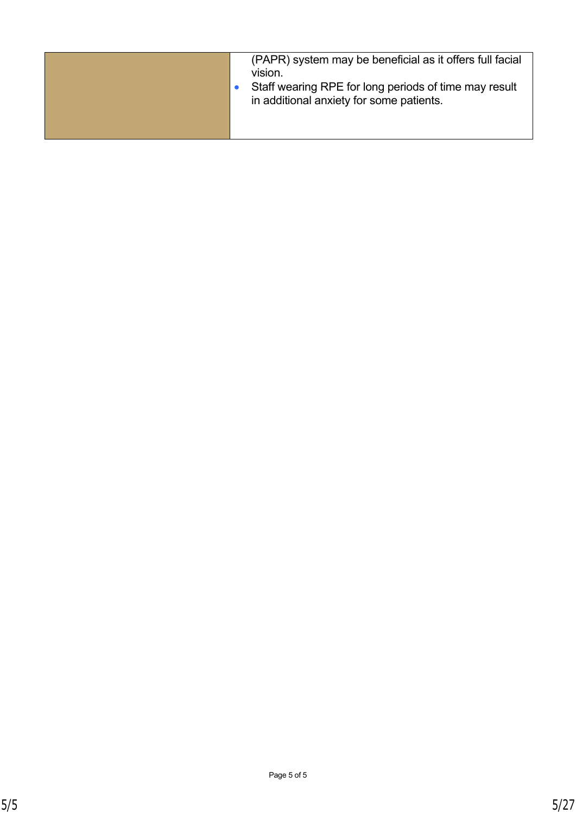| (PAPR) system may be beneficial as it offers full facial<br>VISION.<br>Staff wearing RPE for long periods of time may result |
|------------------------------------------------------------------------------------------------------------------------------|
| in additional anxiety for some patients.                                                                                     |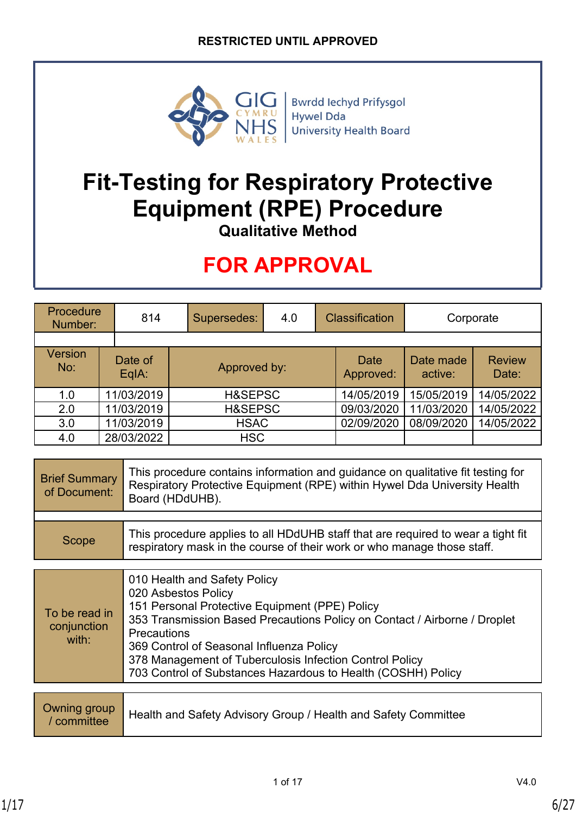

**Bwrdd lechyd Prifysgol Hywel Dda University Health Board** 

# **Fit-Testing for Respiratory Protective Equipment (RPE) Procedure**

**Qualitative Method**

## **FOR APPROVAL**

| Procedure<br>814<br>Number: |                  | Supersedes:  | <b>Classification</b><br>4.0 |  | Corporate                |                      |                        |
|-----------------------------|------------------|--------------|------------------------------|--|--------------------------|----------------------|------------------------|
|                             |                  |              |                              |  |                          |                      |                        |
| <b>Version</b><br>No:       | Date of<br>EqlA: | Approved by: |                              |  | <b>Date</b><br>Approved: | Date made<br>active: | <b>Review</b><br>Date: |
| 1.0                         | 11/03/2019       |              | H&SEPSC                      |  | 14/05/2019               | 15/05/2019           | 14/05/2022             |
| 2.0                         | 11/03/2019       |              | H&SEPSC                      |  | 09/03/2020               | 11/03/2020           | 14/05/2022             |
| 3.0                         | 11/03/2019       |              | <b>HSAC</b>                  |  | 02/09/2020               | 08/09/2020           | 14/05/2022             |
| 4.0                         | 28/03/2022       |              | <b>HSC</b>                   |  |                          |                      |                        |

| <b>Brief Summary</b><br>of Document: | This procedure contains information and guidance on qualitative fit testing for<br>Respiratory Protective Equipment (RPE) within Hywel Dda University Health<br>Board (HDdUHB). |
|--------------------------------------|---------------------------------------------------------------------------------------------------------------------------------------------------------------------------------|
|                                      |                                                                                                                                                                                 |
| Scope                                | This procedure applies to all HDdUHB staff that are required to wear a tight fit<br>respiratory mask in the course of their work or who manage those staff.                     |

| To be read in<br>conjunction<br>with: | 010 Health and Safety Policy<br>020 Asbestos Policy<br>151 Personal Protective Equipment (PPE) Policy<br>353 Transmission Based Precautions Policy on Contact / Airborne / Droplet<br><b>Precautions</b><br>369 Control of Seasonal Influenza Policy<br>378 Management of Tuberculosis Infection Control Policy<br>703 Control of Substances Hazardous to Health (COSHH) Policy |
|---------------------------------------|---------------------------------------------------------------------------------------------------------------------------------------------------------------------------------------------------------------------------------------------------------------------------------------------------------------------------------------------------------------------------------|
|                                       |                                                                                                                                                                                                                                                                                                                                                                                 |
| Jwning group                          |                                                                                                                                                                                                                                                                                                                                                                                 |

|  | Owning group<br>/ committee Health and Safety Advisory Group / Health and Safety Committee |
|--|--------------------------------------------------------------------------------------------|
|--|--------------------------------------------------------------------------------------------|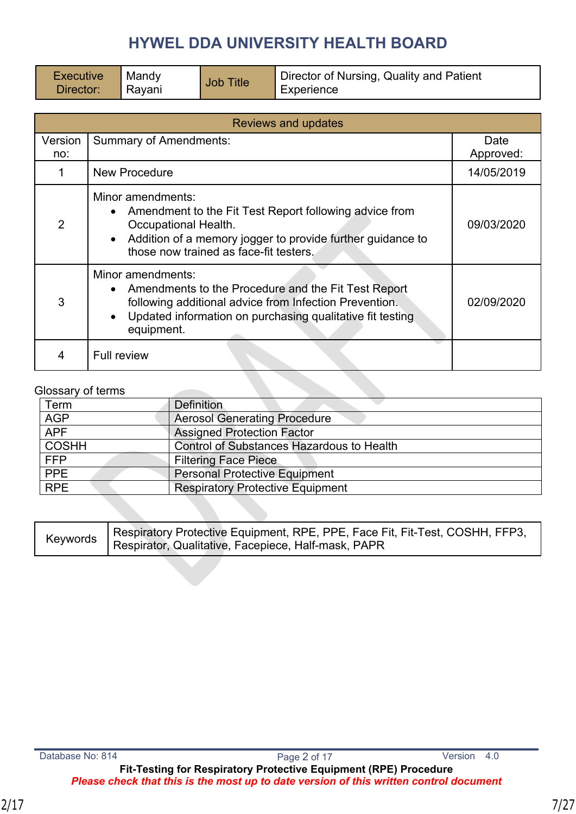| Executive | M   |
|-----------|-----|
| Director: | l R |

**Mandy** 

Mandy Job Title Director of Nursing, Quality and Patient<br>Rayani Job Title Experience Experience

| <b>Reviews and updates</b> |                                                                                                                                                                                                                            |                   |  |
|----------------------------|----------------------------------------------------------------------------------------------------------------------------------------------------------------------------------------------------------------------------|-------------------|--|
| Version<br>no:             | <b>Summary of Amendments:</b>                                                                                                                                                                                              | Date<br>Approved: |  |
|                            | <b>New Procedure</b>                                                                                                                                                                                                       | 14/05/2019        |  |
| 2                          | Minor amendments:<br>• Amendment to the Fit Test Report following advice from<br>Occupational Health.<br>• Addition of a memory jogger to provide further guidance to<br>those now trained as face-fit testers.            | 09/03/2020        |  |
| 3                          | Minor amendments:<br>Amendments to the Procedure and the Fit Test Report<br>following additional advice from Infection Prevention.<br>Updated information on purchasing qualitative fit testing<br>$\bullet$<br>equipment. | 02/09/2020        |  |
|                            | <b>Full review</b>                                                                                                                                                                                                         |                   |  |

#### Glossary of terms

| Term         | <b>Definition</b>                         |  |  |
|--------------|-------------------------------------------|--|--|
| <b>AGP</b>   | <b>Aerosol Generating Procedure</b>       |  |  |
| <b>APF</b>   | <b>Assigned Protection Factor</b>         |  |  |
| <b>COSHH</b> | Control of Substances Hazardous to Health |  |  |
| <b>FFP</b>   | <b>Filtering Face Piece</b>               |  |  |
| <b>PPE</b>   | <b>Personal Protective Equipment</b>      |  |  |
| <b>RPE</b>   | <b>Respiratory Protective Equipment</b>   |  |  |

| Keywords Respiratory Protective Equipment, RPE, PPE, Face Fit, Fit-Test, COSHH, FFP3,<br>Respirator, Qualitative, Facepiece, Half-mask, PAPR |
|----------------------------------------------------------------------------------------------------------------------------------------------|

**Fit-Testing for Respiratory Protective Equipment (RPE) Procedure** *Please check that this is the most up to date version of this written control document*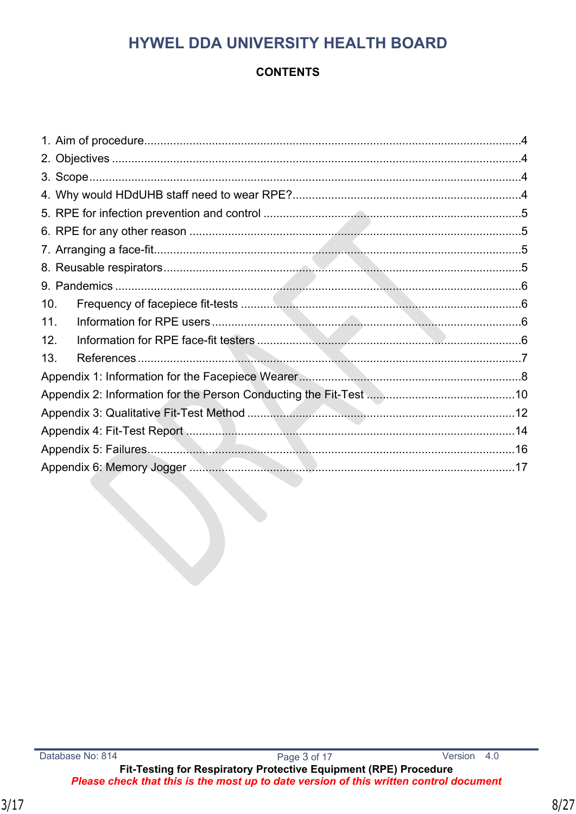#### **CONTENTS**

| 10. |  |
|-----|--|
| 11. |  |
| 12. |  |
| 13. |  |
|     |  |
|     |  |
|     |  |
|     |  |
|     |  |
|     |  |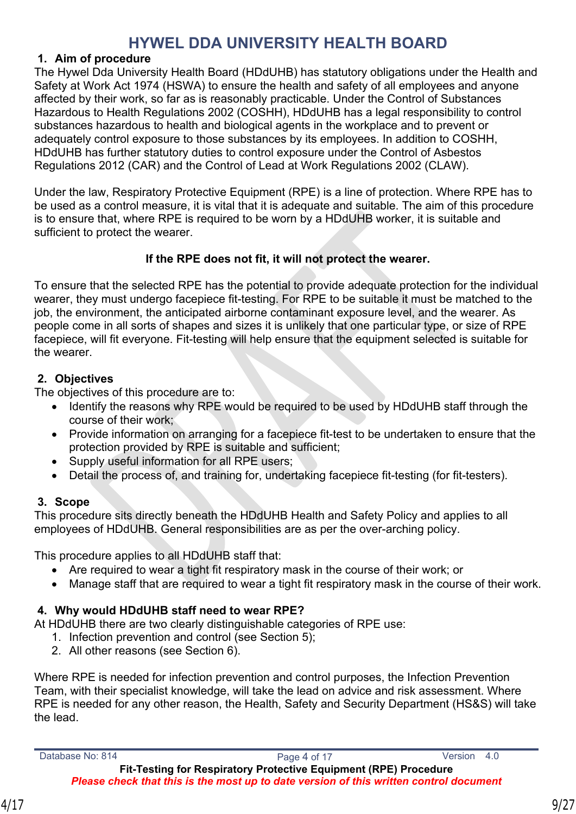#### <span id="page-8-0"></span>**1. Aim of procedure**

The Hywel Dda University Health Board (HDdUHB) has statutory obligations under the Health and Safety at Work Act 1974 (HSWA) to ensure the health and safety of all employees and anyone affected by their work, so far as is reasonably practicable. Under the Control of Substances Hazardous to Health Regulations 2002 (COSHH), HDdUHB has a legal responsibility to control substances hazardous to health and biological agents in the workplace and to prevent or adequately control exposure to those substances by its employees. In addition to COSHH, HDdUHB has further statutory duties to control exposure under the Control of Asbestos Regulations 2012 (CAR) and the Control of Lead at Work Regulations 2002 (CLAW).

Under the law, Respiratory Protective Equipment (RPE) is a line of protection. Where RPE has to be used as a control measure, it is vital that it is adequate and suitable. The aim of this procedure is to ensure that, where RPE is required to be worn by a HDdUHB worker, it is suitable and sufficient to protect the wearer.

#### **If the RPE does not fit, it will not protect the wearer.**

To ensure that the selected RPE has the potential to provide adequate protection for the individual wearer, they must undergo facepiece fit-testing. For RPE to be suitable it must be matched to the job, the environment, the anticipated airborne contaminant exposure level, and the wearer. As people come in all sorts of shapes and sizes it is unlikely that one particular type, or size of RPE facepiece, will fit everyone. Fit-testing will help ensure that the equipment selected is suitable for the wearer.

#### <span id="page-8-1"></span>**2. Objectives**

The objectives of this procedure are to:

- Identify the reasons why RPE would be required to be used by HDdUHB staff through the course of their work;
- Provide information on arranging for a facepiece fit-test to be undertaken to ensure that the protection provided by RPE is suitable and sufficient;
- Supply useful information for all RPE users;
- Detail the process of, and training for, undertaking facepiece fit-testing (for fit-testers).

#### <span id="page-8-2"></span>**3. Scope**

This procedure sits directly beneath the HDdUHB Health and Safety Policy and applies to all employees of HDdUHB. General responsibilities are as per the over-arching policy.

This procedure applies to all HDdUHB staff that:

- Are required to wear a tight fit respiratory mask in the course of their work; or
- Manage staff that are required to wear a tight fit respiratory mask in the course of their work.

#### <span id="page-8-3"></span>**4. Why would HDdUHB staff need to wear RPE?**

At HDdUHB there are two clearly distinguishable categories of RPE use:

- 1. Infection prevention and control (see Section 5);
- 2. All other reasons (see Section 6).

Where RPE is needed for infection prevention and control purposes, the Infection Prevention Team, with their specialist knowledge, will take the lead on advice and risk assessment. Where RPE is needed for any other reason, the Health, Safety and Security Department (HS&S) will take the lead.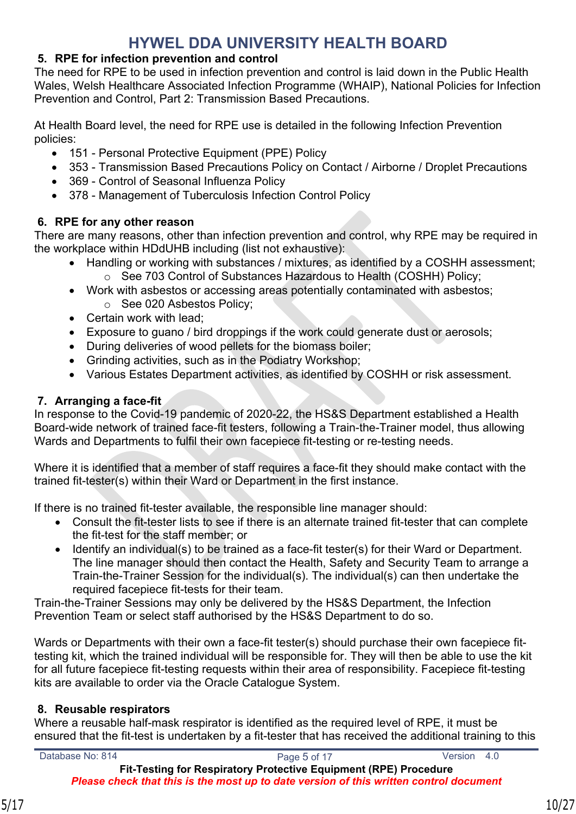#### <span id="page-9-0"></span>**5. RPE for infection prevention and control**

The need for RPE to be used in infection prevention and control is laid down in the Public Health Wales, Welsh Healthcare Associated Infection Programme (WHAIP), National Policies for Infection Prevention and Control, Part 2: Transmission Based Precautions.

At Health Board level, the need for RPE use is detailed in the following Infection Prevention policies:

- 151 Personal Protective Equipment (PPE) Policy
- 353 Transmission Based Precautions Policy on Contact / Airborne / Droplet Precautions
- 369 Control of Seasonal Influenza Policy
- 378 Management of Tuberculosis Infection Control Policy

#### <span id="page-9-1"></span>**6. RPE for any other reason**

There are many reasons, other than infection prevention and control, why RPE may be required in the workplace within HDdUHB including (list not exhaustive):

- Handling or working with substances / mixtures, as identified by a COSHH assessment; o See 703 Control of Substances Hazardous to Health (COSHH) Policy;
- Work with asbestos or accessing areas potentially contaminated with asbestos;
	- o See 020 Asbestos Policy;
- Certain work with lead;
- Exposure to guano / bird droppings if the work could generate dust or aerosols;
- During deliveries of wood pellets for the biomass boiler;
- Grinding activities, such as in the Podiatry Workshop;
- Various Estates Department activities, as identified by COSHH or risk assessment.

#### <span id="page-9-2"></span>**7. Arranging a face-fit**

In response to the Covid-19 pandemic of 2020-22, the HS&S Department established a Health Board-wide network of trained face-fit testers, following a Train-the-Trainer model, thus allowing Wards and Departments to fulfil their own facepiece fit-testing or re-testing needs.

Where it is identified that a member of staff requires a face-fit they should make contact with the trained fit-tester(s) within their Ward or Department in the first instance.

If there is no trained fit-tester available, the responsible line manager should:

- Consult the fit-tester lists to see if there is an alternate trained fit-tester that can complete the fit-test for the staff member; or
- Identify an individual(s) to be trained as a face-fit tester(s) for their Ward or Department. The line manager should then contact the Health, Safety and Security Team to arrange a Train-the-Trainer Session for the individual(s). The individual(s) can then undertake the required facepiece fit-tests for their team.

Train-the-Trainer Sessions may only be delivered by the HS&S Department, the Infection Prevention Team or select staff authorised by the HS&S Department to do so.

Wards or Departments with their own a face-fit tester(s) should purchase their own facepiece fittesting kit, which the trained individual will be responsible for. They will then be able to use the kit for all future facepiece fit-testing requests within their area of responsibility. Facepiece fit-testing kits are available to order via the Oracle Catalogue System.

#### <span id="page-9-3"></span>**8. Reusable respirators**

Where a reusable half-mask respirator is identified as the required level of RPE, it must be ensured that the fit-test is undertaken by a fit-tester that has received the additional training to this

Database No: 814 Page 5 of 17 Version 4.0 **Fit-Testing for Respiratory Protective Equipment (RPE) Procedure** *Please check that this is the most up to date version of this written control document*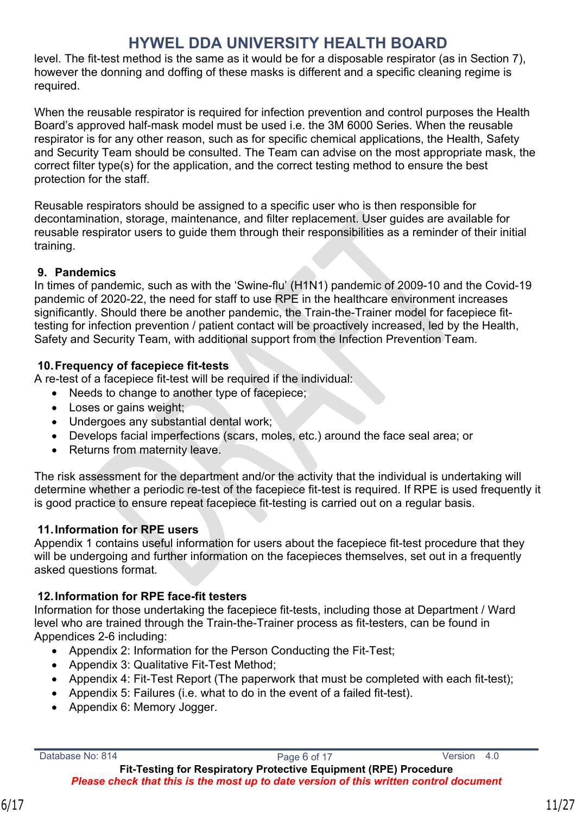level. The fit-test method is the same as it would be for a disposable respirator (as in Section 7), however the donning and doffing of these masks is different and a specific cleaning regime is required.

When the reusable respirator is required for infection prevention and control purposes the Health Board's approved half-mask model must be used i.e. the 3M 6000 Series. When the reusable respirator is for any other reason, such as for specific chemical applications, the Health, Safety and Security Team should be consulted. The Team can advise on the most appropriate mask, the correct filter type(s) for the application, and the correct testing method to ensure the best protection for the staff.

Reusable respirators should be assigned to a specific user who is then responsible for decontamination, storage, maintenance, and filter replacement. User guides are available for reusable respirator users to guide them through their responsibilities as a reminder of their initial training.

#### <span id="page-10-0"></span>**9. Pandemics**

In times of pandemic, such as with the 'Swine-flu' (H1N1) pandemic of 2009-10 and the Covid-19 pandemic of 2020-22, the need for staff to use RPE in the healthcare environment increases significantly. Should there be another pandemic, the Train-the-Trainer model for facepiece fittesting for infection prevention / patient contact will be proactively increased, led by the Health, Safety and Security Team, with additional support from the Infection Prevention Team.

#### <span id="page-10-1"></span>**10.Frequency of facepiece fit-tests**

A re-test of a facepiece fit-test will be required if the individual:

- Needs to change to another type of facepiece;
- Loses or gains weight;
- Undergoes any substantial dental work;
- Develops facial imperfections (scars, moles, etc.) around the face seal area; or
- Returns from maternity leave.

The risk assessment for the department and/or the activity that the individual is undertaking will determine whether a periodic re-test of the facepiece fit-test is required. If RPE is used frequently it is good practice to ensure repeat facepiece fit-testing is carried out on a regular basis.

#### <span id="page-10-2"></span>**11.Information for RPE users**

Appendix 1 contains useful information for users about the facepiece fit-test procedure that they will be undergoing and further information on the facepieces themselves, set out in a frequently asked questions format.

#### <span id="page-10-3"></span>**12.Information for RPE face-fit testers**

Information for those undertaking the facepiece fit-tests, including those at Department / Ward level who are trained through the Train-the-Trainer process as fit-testers, can be found in Appendices 2-6 including:

- Appendix 2: Information for the Person Conducting the Fit-Test;
- Appendix 3: Qualitative Fit-Test Method:
- Appendix 4: Fit-Test Report (The paperwork that must be completed with each fit-test);

**Fit-Testing for Respiratory Protective Equipment (RPE) Procedure** *Please check that this is the most up to date version of this written control document*

- Appendix 5: Failures (i.e. what to do in the event of a failed fit-test).
- Appendix 6: Memory Jogger.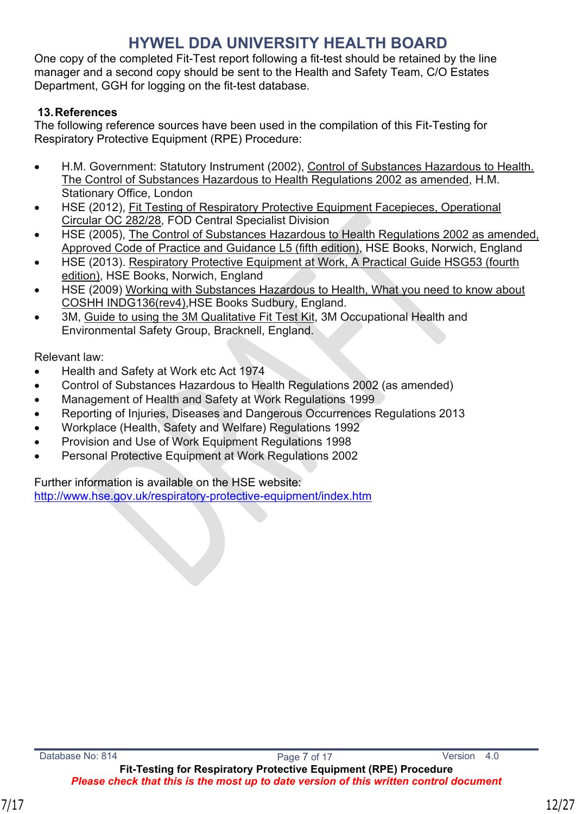One copy of the completed Fit-Test report following a fit-test should be retained by the line manager and a second copy should be sent to the Health and Safety Team, C/O Estates Department, GGH for logging on the fit-test database.

#### <span id="page-11-0"></span>**13.References**

The following reference sources have been used in the compilation of this Fit-Testing for Respiratory Protective Equipment (RPE) Procedure:

- H.M. Government: Statutory Instrument (2002), Control of Substances Hazardous to Health. The Control of Substances Hazardous to Health Regulations 2002 as amended, H.M. Stationary Office, London
- HSE (2012), Fit Testing of Respiratory Protective Equipment Facepieces, Operational Circular OC 282/28, FOD Central Specialist Division
- HSE (2005), The Control of Substances Hazardous to Health Regulations 2002 as amended, Approved Code of Practice and Guidance L5 (fifth edition), HSE Books, Norwich, England
- HSE (2013). Respiratory Protective Equipment at Work, A Practical Guide HSG53 (fourth edition), HSE Books, Norwich, England
- HSE (2009) Working with Substances Hazardous to Health, What you need to know about COSHH INDG136(rev4),HSE Books Sudbury, England.
- 3M, Guide to using the 3M Qualitative Fit Test Kit, 3M Occupational Health and Environmental Safety Group, Bracknell, England.

Relevant law:

- Health and Safety at Work etc Act 1974
- Control of Substances Hazardous to Health Regulations 2002 (as amended)
- Management of Health and Safety at Work Regulations 1999
- Reporting of Injuries, Diseases and Dangerous Occurrences Regulations 2013
- Workplace (Health, Safety and Welfare) Regulations 1992
- Provision and Use of Work Equipment Regulations 1998
- Personal Protective Equipment at Work Regulations 2002

Further information is available on the HSE website:

<http://www.hse.gov.uk/respiratory-protective-equipment/index.htm>

*Please check that this is the most up to date version of this written control document*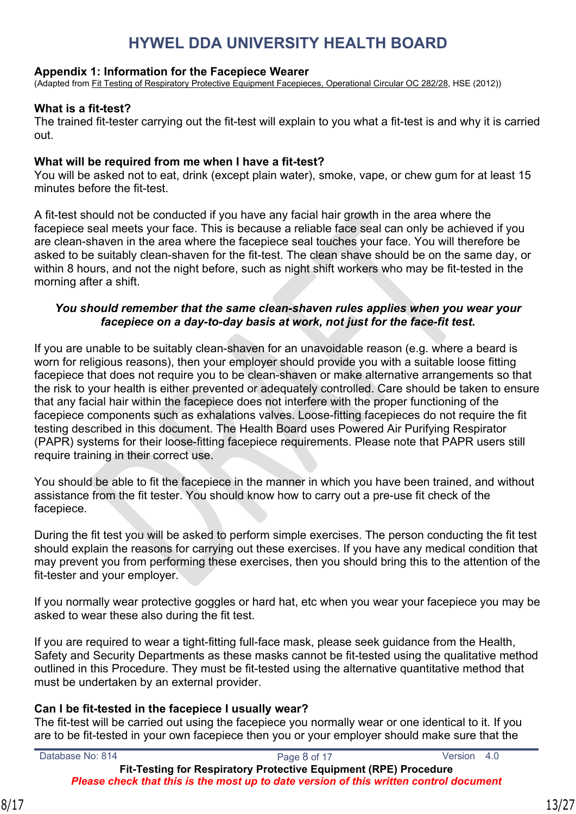#### <span id="page-12-0"></span>**Appendix 1: Information for the Facepiece Wearer**

(Adapted from Fit Testing of Respiratory Protective Equipment Facepieces, Operational Circular OC 282/28, HSE (2012))

#### **What is a fit-test?**

The trained fit-tester carrying out the fit-test will explain to you what a fit-test is and why it is carried out.

#### **What will be required from me when I have a fit-test?**

You will be asked not to eat, drink (except plain water), smoke, vape, or chew gum for at least 15 minutes before the fit-test.

A fit-test should not be conducted if you have any facial hair growth in the area where the facepiece seal meets your face. This is because a reliable face seal can only be achieved if you are clean-shaven in the area where the facepiece seal touches your face. You will therefore be asked to be suitably clean-shaven for the fit-test. The clean shave should be on the same day, or within 8 hours, and not the night before, such as night shift workers who may be fit-tested in the morning after a shift.

#### *You should remember that the same clean-shaven rules applies when you wear your facepiece on a day-to-day basis at work, not just for the face-fit test.*

If you are unable to be suitably clean-shaven for an unavoidable reason (e.g. where a beard is worn for religious reasons), then your employer should provide you with a suitable loose fitting facepiece that does not require you to be clean-shaven or make alternative arrangements so that the risk to your health is either prevented or adequately controlled. Care should be taken to ensure that any facial hair within the facepiece does not interfere with the proper functioning of the facepiece components such as exhalations valves. Loose-fitting facepieces do not require the fit testing described in this document. The Health Board uses Powered Air Purifying Respirator (PAPR) systems for their loose-fitting facepiece requirements. Please note that PAPR users still require training in their correct use.

You should be able to fit the facepiece in the manner in which you have been trained, and without assistance from the fit tester. You should know how to carry out a pre-use fit check of the facepiece.

During the fit test you will be asked to perform simple exercises. The person conducting the fit test should explain the reasons for carrying out these exercises. If you have any medical condition that may prevent you from performing these exercises, then you should bring this to the attention of the fit-tester and your employer.

If you normally wear protective goggles or hard hat, etc when you wear your facepiece you may be asked to wear these also during the fit test.

If you are required to wear a tight-fitting full-face mask, please seek guidance from the Health, Safety and Security Departments as these masks cannot be fit-tested using the qualitative method outlined in this Procedure. They must be fit-tested using the alternative quantitative method that must be undertaken by an external provider.

#### **Can I be fit-tested in the facepiece I usually wear?**

The fit-test will be carried out using the facepiece you normally wear or one identical to it. If you are to be fit-tested in your own facepiece then you or your employer should make sure that the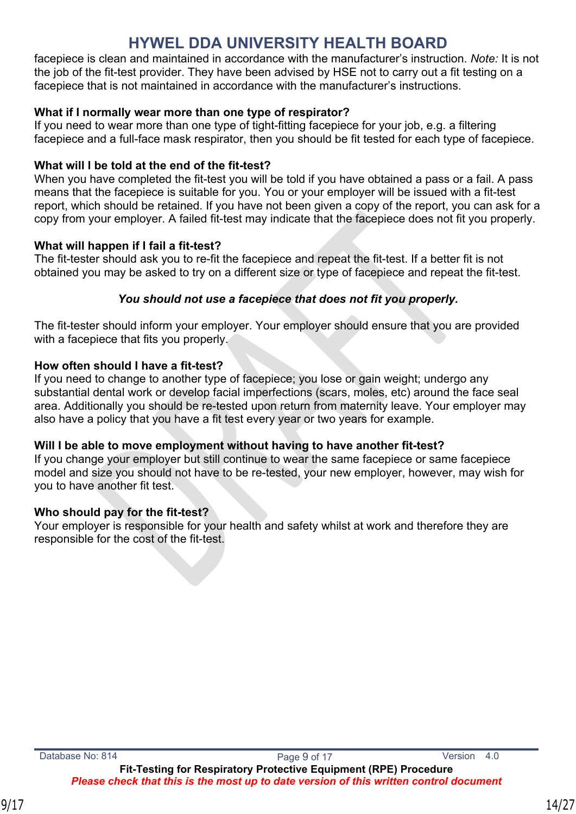facepiece is clean and maintained in accordance with the manufacturer's instruction. *Note:* It is not the job of the fit-test provider. They have been advised by HSE not to carry out a fit testing on a facepiece that is not maintained in accordance with the manufacturer's instructions.

#### **What if I normally wear more than one type of respirator?**

If you need to wear more than one type of tight-fitting facepiece for your job, e.g. a filtering facepiece and a full-face mask respirator, then you should be fit tested for each type of facepiece.

#### **What will I be told at the end of the fit-test?**

When you have completed the fit-test you will be told if you have obtained a pass or a fail. A pass means that the facepiece is suitable for you. You or your employer will be issued with a fit-test report, which should be retained. If you have not been given a copy of the report, you can ask for a copy from your employer. A failed fit-test may indicate that the facepiece does not fit you properly.

#### **What will happen if I fail a fit-test?**

The fit-tester should ask you to re-fit the facepiece and repeat the fit-test. If a better fit is not obtained you may be asked to try on a different size or type of facepiece and repeat the fit-test.

#### *You should not use a facepiece that does not fit you properly.*

The fit-tester should inform your employer. Your employer should ensure that you are provided with a facepiece that fits you properly.

#### **How often should I have a fit-test?**

If you need to change to another type of facepiece; you lose or gain weight; undergo any substantial dental work or develop facial imperfections (scars, moles, etc) around the face seal area. Additionally you should be re-tested upon return from maternity leave. Your employer may also have a policy that you have a fit test every year or two years for example.

#### **Will I be able to move employment without having to have another fit-test?**

If you change your employer but still continue to wear the same facepiece or same facepiece model and size you should not have to be re-tested, your new employer, however, may wish for you to have another fit test.

#### **Who should pay for the fit-test?**

Your employer is responsible for your health and safety whilst at work and therefore they are responsible for the cost of the fit-test.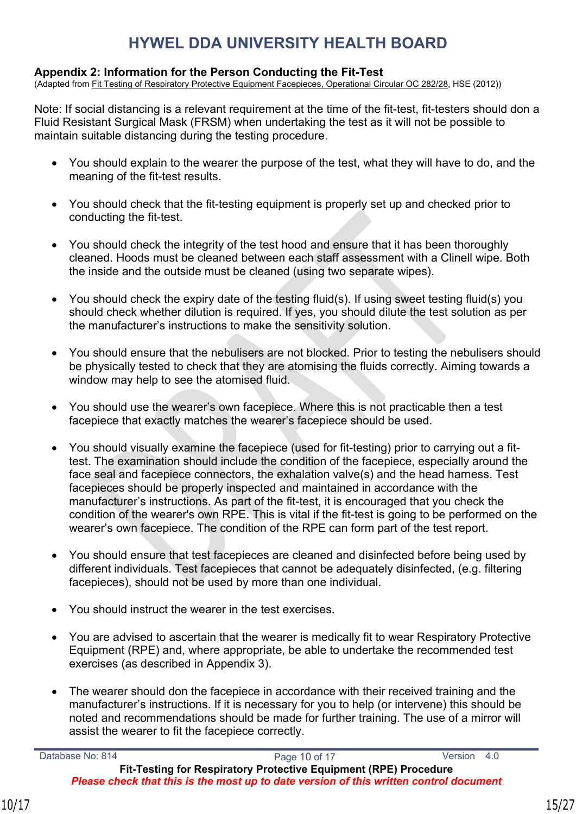#### <span id="page-14-0"></span>**Appendix 2: Information for the Person Conducting the Fit-Test**

(Adapted from Fit Testing of Respiratory Protective Equipment Facepieces, Operational Circular OC 282/28, HSE (2012))

Note: If social distancing is a relevant requirement at the time of the fit-test, fit-testers should don a Fluid Resistant Surgical Mask (FRSM) when undertaking the test as it will not be possible to maintain suitable distancing during the testing procedure.

- You should explain to the wearer the purpose of the test, what they will have to do, and the meaning of the fit-test results.
- You should check that the fit-testing equipment is properly set up and checked prior to conducting the fit-test.
- You should check the integrity of the test hood and ensure that it has been thoroughly cleaned. Hoods must be cleaned between each staff assessment with a Clinell wipe. Both the inside and the outside must be cleaned (using two separate wipes).
- You should check the expiry date of the testing fluid(s). If using sweet testing fluid(s) you should check whether dilution is required. If yes, you should dilute the test solution as per the manufacturer's instructions to make the sensitivity solution.
- You should ensure that the nebulisers are not blocked. Prior to testing the nebulisers should be physically tested to check that they are atomising the fluids correctly. Aiming towards a window may help to see the atomised fluid.
- You should use the wearer's own facepiece. Where this is not practicable then a test facepiece that exactly matches the wearer's facepiece should be used.
- You should visually examine the facepiece (used for fit-testing) prior to carrying out a fittest. The examination should include the condition of the facepiece, especially around the face seal and facepiece connectors, the exhalation valve(s) and the head harness. Test facepieces should be properly inspected and maintained in accordance with the manufacturer's instructions. As part of the fit-test, it is encouraged that you check the condition of the wearer's own RPE. This is vital if the fit-test is going to be performed on the wearer's own facepiece. The condition of the RPE can form part of the test report.
- You should ensure that test facepieces are cleaned and disinfected before being used by different individuals. Test facepieces that cannot be adequately disinfected, (e.g. filtering facepieces), should not be used by more than one individual.
- You should instruct the wearer in the test exercises.
- You are advised to ascertain that the wearer is medically fit to wear Respiratory Protective Equipment (RPE) and, where appropriate, be able to undertake the recommended test exercises (as described in Appendix 3).
- The wearer should don the facepiece in accordance with their received training and the manufacturer's instructions. If it is necessary for you to help (or intervene) this should be noted and recommendations should be made for further training. The use of a mirror will assist the wearer to fit the facepiece correctly.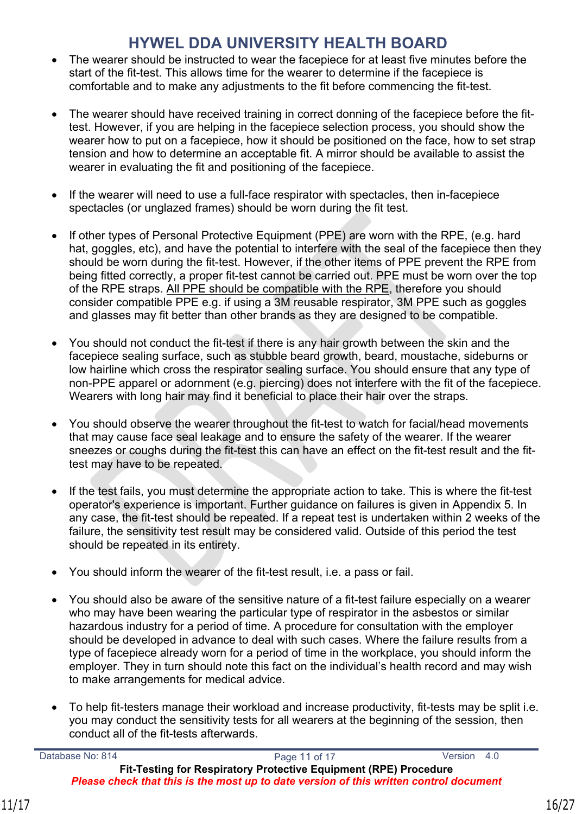- The wearer should be instructed to wear the facepiece for at least five minutes before the start of the fit-test. This allows time for the wearer to determine if the facepiece is comfortable and to make any adjustments to the fit before commencing the fit-test.
- The wearer should have received training in correct donning of the facepiece before the fittest. However, if you are helping in the facepiece selection process, you should show the wearer how to put on a facepiece, how it should be positioned on the face, how to set strap tension and how to determine an acceptable fit. A mirror should be available to assist the wearer in evaluating the fit and positioning of the facepiece.
- If the wearer will need to use a full-face respirator with spectacles, then in-facepiece spectacles (or unglazed frames) should be worn during the fit test.
- If other types of Personal Protective Equipment (PPE) are worn with the RPE, (e.g. hard hat, goggles, etc), and have the potential to interfere with the seal of the facepiece then they should be worn during the fit-test. However, if the other items of PPE prevent the RPE from being fitted correctly, a proper fit-test cannot be carried out. PPE must be worn over the top of the RPE straps. All PPE should be compatible with the RPE, therefore you should consider compatible PPE e.g. if using a 3M reusable respirator, 3M PPE such as goggles and glasses may fit better than other brands as they are designed to be compatible.
- You should not conduct the fit-test if there is any hair growth between the skin and the facepiece sealing surface, such as stubble beard growth, beard, moustache, sideburns or low hairline which cross the respirator sealing surface. You should ensure that any type of non-PPE apparel or adornment (e.g. piercing) does not interfere with the fit of the facepiece. Wearers with long hair may find it beneficial to place their hair over the straps.
- You should observe the wearer throughout the fit-test to watch for facial/head movements that may cause face seal leakage and to ensure the safety of the wearer. If the wearer sneezes or coughs during the fit-test this can have an effect on the fit-test result and the fittest may have to be repeated.
- If the test fails, you must determine the appropriate action to take. This is where the fit-test operator's experience is important. Further guidance on failures is given in Appendix 5. In any case, the fit-test should be repeated. If a repeat test is undertaken within 2 weeks of the failure, the sensitivity test result may be considered valid. Outside of this period the test should be repeated in its entirety.
- You should inform the wearer of the fit-test result, i.e. a pass or fail.
- You should also be aware of the sensitive nature of a fit-test failure especially on a wearer who may have been wearing the particular type of respirator in the asbestos or similar hazardous industry for a period of time. A procedure for consultation with the employer should be developed in advance to deal with such cases. Where the failure results from a type of facepiece already worn for a period of time in the workplace, you should inform the employer. They in turn should note this fact on the individual's health record and may wish to make arrangements for medical advice.
- To help fit-testers manage their workload and increase productivity, fit-tests may be split i.e. you may conduct the sensitivity tests for all wearers at the beginning of the session, then conduct all of the fit-tests afterwards.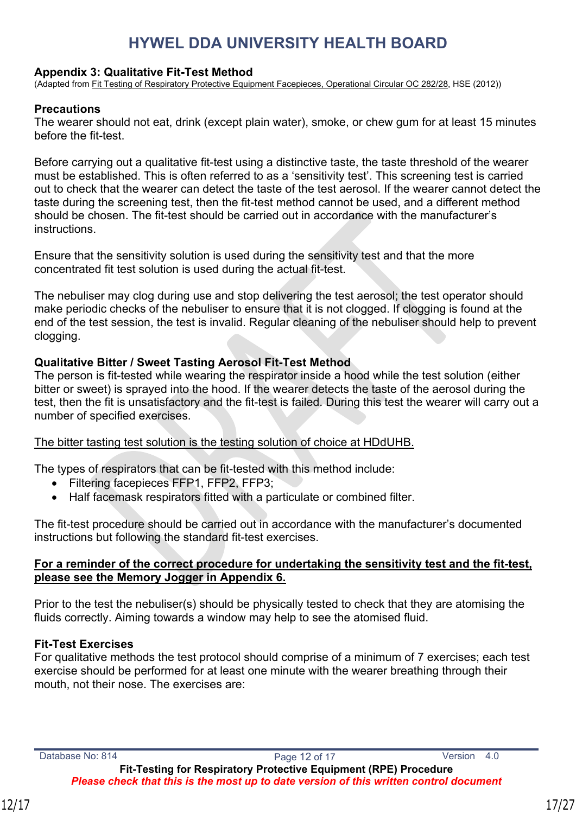#### <span id="page-16-0"></span>**Appendix 3: Qualitative Fit-Test Method**

(Adapted from Fit Testing of Respiratory Protective Equipment Facepieces, Operational Circular OC 282/28, HSE (2012))

#### **Precautions**

The wearer should not eat, drink (except plain water), smoke, or chew gum for at least 15 minutes before the fit-test.

Before carrying out a qualitative fit-test using a distinctive taste, the taste threshold of the wearer must be established. This is often referred to as a 'sensitivity test'. This screening test is carried out to check that the wearer can detect the taste of the test aerosol. If the wearer cannot detect the taste during the screening test, then the fit-test method cannot be used, and a different method should be chosen. The fit-test should be carried out in accordance with the manufacturer's instructions.

Ensure that the sensitivity solution is used during the sensitivity test and that the more concentrated fit test solution is used during the actual fit-test.

The nebuliser may clog during use and stop delivering the test aerosol; the test operator should make periodic checks of the nebuliser to ensure that it is not clogged. If clogging is found at the end of the test session, the test is invalid. Regular cleaning of the nebuliser should help to prevent clogging.

#### **Qualitative Bitter / Sweet Tasting Aerosol Fit-Test Method**

The person is fit-tested while wearing the respirator inside a hood while the test solution (either bitter or sweet) is sprayed into the hood. If the wearer detects the taste of the aerosol during the test, then the fit is unsatisfactory and the fit-test is failed. During this test the wearer will carry out a number of specified exercises.

The bitter tasting test solution is the testing solution of choice at HDdUHB.

The types of respirators that can be fit-tested with this method include:

- Filtering facepieces FFP1, FFP2, FFP3;
- Half facemask respirators fitted with a particulate or combined filter.

The fit-test procedure should be carried out in accordance with the manufacturer's documented instructions but following the standard fit-test exercises.

#### **For a reminder of the correct procedure for undertaking the sensitivity test and the fit-test, please see the Memory Jogger in Appendix 6.**

Prior to the test the nebuliser(s) should be physically tested to check that they are atomising the fluids correctly. Aiming towards a window may help to see the atomised fluid.

#### **Fit-Test Exercises**

For qualitative methods the test protocol should comprise of a minimum of 7 exercises; each test exercise should be performed for at least one minute with the wearer breathing through their mouth, not their nose. The exercises are:

*Please check that this is the most up to date version of this written control document*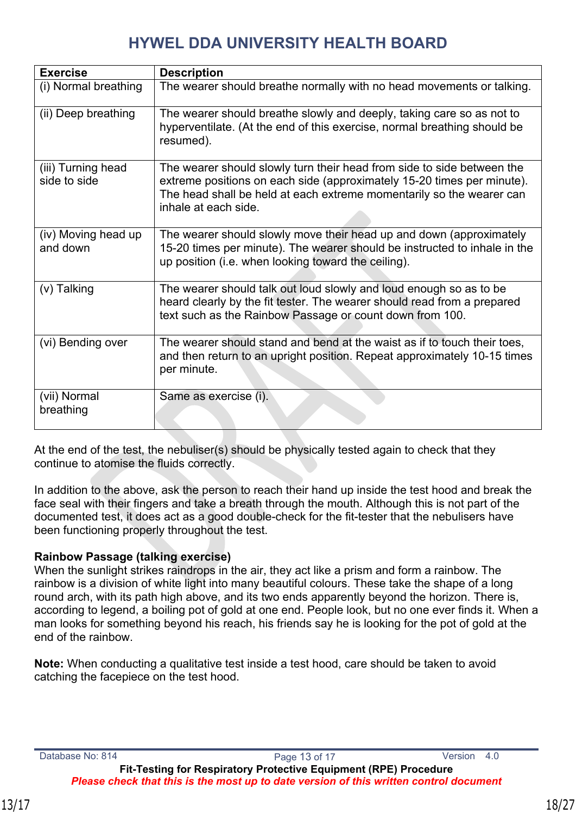| <b>Exercise</b>                    | <b>Description</b>                                                                                                                                                                                                                               |
|------------------------------------|--------------------------------------------------------------------------------------------------------------------------------------------------------------------------------------------------------------------------------------------------|
| (i) Normal breathing               | The wearer should breathe normally with no head movements or talking.                                                                                                                                                                            |
| (ii) Deep breathing                | The wearer should breathe slowly and deeply, taking care so as not to<br>hyperventilate. (At the end of this exercise, normal breathing should be<br>resumed).                                                                                   |
| (iii) Turning head<br>side to side | The wearer should slowly turn their head from side to side between the<br>extreme positions on each side (approximately 15-20 times per minute).<br>The head shall be held at each extreme momentarily so the wearer can<br>inhale at each side. |
| (iv) Moving head up<br>and down    | The wearer should slowly move their head up and down (approximately<br>15-20 times per minute). The wearer should be instructed to inhale in the<br>up position (i.e. when looking toward the ceiling).                                          |
| (v) Talking                        | The wearer should talk out loud slowly and loud enough so as to be<br>heard clearly by the fit tester. The wearer should read from a prepared<br>text such as the Rainbow Passage or count down from 100.                                        |
| (vi) Bending over                  | The wearer should stand and bend at the waist as if to touch their toes,<br>and then return to an upright position. Repeat approximately 10-15 times<br>per minute.                                                                              |
| (vii) Normal<br>breathing          | Same as exercise (i).                                                                                                                                                                                                                            |

At the end of the test, the nebuliser(s) should be physically tested again to check that they continue to atomise the fluids correctly.

In addition to the above, ask the person to reach their hand up inside the test hood and break the face seal with their fingers and take a breath through the mouth. Although this is not part of the documented test, it does act as a good double-check for the fit-tester that the nebulisers have been functioning properly throughout the test.

#### **Rainbow Passage (talking exercise)**

When the sunlight strikes raindrops in the air, they act like a prism and form a rainbow. The rainbow is a division of white light into many beautiful colours. These take the shape of a long round arch, with its path high above, and its two ends apparently beyond the horizon. There is, according to legend, a boiling pot of gold at one end. People look, but no one ever finds it. When a man looks for something beyond his reach, his friends say he is looking for the pot of gold at the end of the rainbow.

**Note:** When conducting a qualitative test inside a test hood, care should be taken to avoid catching the facepiece on the test hood.

*Please check that this is the most up to date version of this written control document*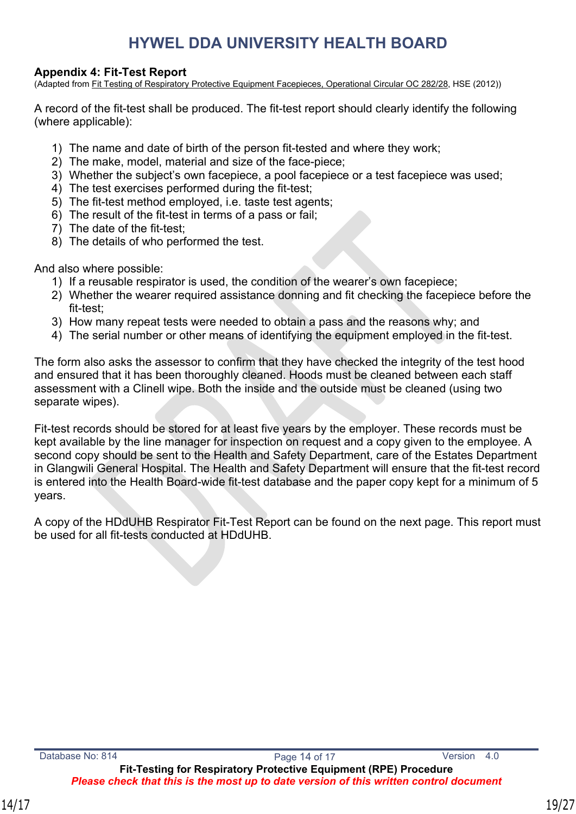#### <span id="page-18-0"></span>**Appendix 4: Fit-Test Report**

(Adapted from Fit Testing of Respiratory Protective Equipment Facepieces, Operational Circular OC 282/28, HSE (2012))

A record of the fit-test shall be produced. The fit-test report should clearly identify the following (where applicable):

- 1) The name and date of birth of the person fit-tested and where they work;
- 2) The make, model, material and size of the face-piece;
- 3) Whether the subject's own facepiece, a pool facepiece or a test facepiece was used;
- 4) The test exercises performed during the fit-test;
- 5) The fit-test method employed, i.e. taste test agents;
- 6) The result of the fit-test in terms of a pass or fail;
- 7) The date of the fit-test;
- 8) The details of who performed the test.

And also where possible:

- 1) If a reusable respirator is used, the condition of the wearer's own facepiece;
- 2) Whether the wearer required assistance donning and fit checking the facepiece before the fit-test;
- 3) How many repeat tests were needed to obtain a pass and the reasons why; and
- 4) The serial number or other means of identifying the equipment employed in the fit-test.

The form also asks the assessor to confirm that they have checked the integrity of the test hood and ensured that it has been thoroughly cleaned. Hoods must be cleaned between each staff assessment with a Clinell wipe. Both the inside and the outside must be cleaned (using two separate wipes).

Fit-test records should be stored for at least five years by the employer. These records must be kept available by the line manager for inspection on request and a copy given to the employee. A second copy should be sent to the Health and Safety Department, care of the Estates Department in Glangwili General Hospital. The Health and Safety Department will ensure that the fit-test record is entered into the Health Board-wide fit-test database and the paper copy kept for a minimum of 5 years.

A copy of the HDdUHB Respirator Fit-Test Report can be found on the next page. This report must be used for all fit-tests conducted at HDdUHB.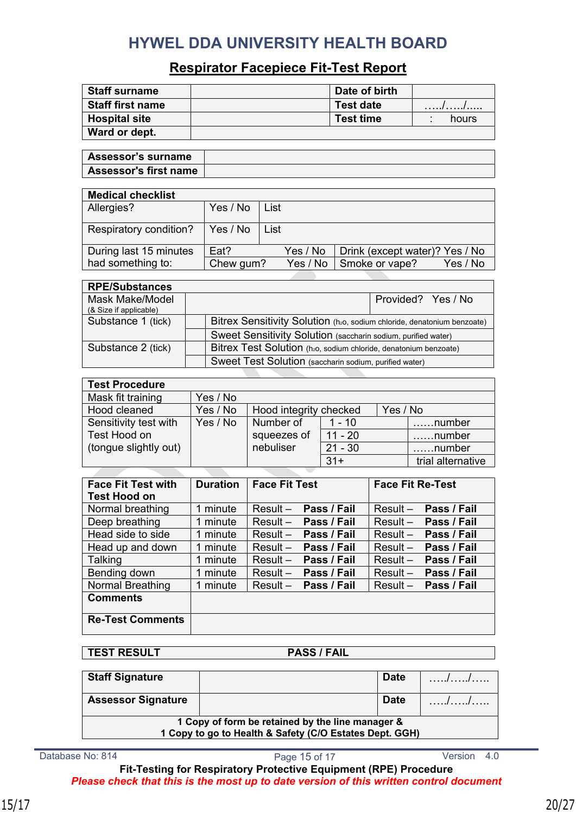#### **Respirator Facepiece Fit-Test Report**

| <b>Staff surname</b>    | Date of birth    |       |
|-------------------------|------------------|-------|
| <b>Staff first name</b> | <b>Test date</b> | .//   |
| <b>Hospital site</b>    | <b>Test time</b> | hours |
| Ward or dept.           |                  |       |

| ∣ Assessor's surname  |  |
|-----------------------|--|
| Assessor's first name |  |

| <b>Medical checklist</b> |           |      |          |                                |          |
|--------------------------|-----------|------|----------|--------------------------------|----------|
| Allergies?               | Yes / No  | List |          |                                |          |
| Respiratory condition?   | Yes / No  | List |          |                                |          |
| During last 15 minutes   | Eat?      |      | Yes / No | Drink (except water)? Yes / No |          |
| had something to:        | Chew gum? |      | Yes / No | Smoke or vape?                 | Yes / No |

| <b>RPE/Substances</b>  |                                                                                      |
|------------------------|--------------------------------------------------------------------------------------|
| Mask Make/Model        | Provided? Yes / No                                                                   |
| (& Size if applicable) |                                                                                      |
| Substance 1 (tick)     | Bitrex Sensitivity Solution (h <sub>20</sub> , sodium chloride, denatonium benzoate) |
|                        | Sweet Sensitivity Solution (saccharin sodium, purified water)                        |
| Substance 2 (tick)     | Bitrex Test Solution (h <sub>20</sub> , sodium chloride, denatonium benzoate)        |
|                        | Sweet Test Solution (saccharin sodium, purified water)                               |
|                        |                                                                                      |

| <b>Test Procedure</b> |          |                        |           |          |                   |
|-----------------------|----------|------------------------|-----------|----------|-------------------|
| Mask fit training     | Yes / No |                        |           |          |                   |
| Hood cleaned          | Yes / No | Hood integrity checked |           | Yes / No |                   |
| Sensitivity test with | Yes / No | Number of              | $1 - 10$  |          | number            |
| Test Hood on          |          | squeezes of            | $11 - 20$ |          | number            |
| (tongue slightly out) |          | nebuliser              | $21 - 30$ |          | $\ldots$ number   |
|                       |          |                        | $31+$     |          | trial alternative |

| <b>Face Fit Test with</b><br><b>Test Hood on</b> | <b>Duration</b> | <b>Face Fit Test</b> |                        | <b>Face Fit Re-Test</b> |             |
|--------------------------------------------------|-----------------|----------------------|------------------------|-------------------------|-------------|
| Normal breathing                                 | 1 minute        | $Result -$           | Pass / Fail            | $Result -$              | Pass / Fail |
| Deep breathing                                   | 1 minute        |                      | Result $-$ Pass / Fail | $Result -$              | Pass / Fail |
| Head side to side                                | 1 minute        | $Result -$           | Pass / Fail            | $Result -$              | Pass / Fail |
| Head up and down                                 | 1 minute        | $Result -$           | Pass / Fail            | $Result -$              | Pass / Fail |
| Talking                                          | 1 minute        | $Result -$           | Pass / Fail            | $Result -$              | Pass / Fail |
| Bending down                                     | 1 minute        | $Result -$           | Pass / Fail            | $Result -$              | Pass / Fail |
| <b>Normal Breathing</b>                          | 1 minute        | $Result -$           | Pass / Fail            | $Result -$              | Pass / Fail |
| <b>Comments</b>                                  |                 |                      |                        |                         |             |
| <b>Re-Test Comments</b>                          |                 |                      |                        |                         |             |

| <b>TEST RESULT</b>                                                                                          | <b>PASS / FAIL</b> |             |  |
|-------------------------------------------------------------------------------------------------------------|--------------------|-------------|--|
|                                                                                                             |                    |             |  |
| <b>Staff Signature</b>                                                                                      |                    | <b>Date</b> |  |
|                                                                                                             |                    |             |  |
| <b>Assessor Signature</b>                                                                                   |                    | <b>Date</b> |  |
| 1 Copy of form be retained by the line manager &<br>1 Copy to go to Health & Safety (C/O Estates Dept. GGH) |                    |             |  |

Database No: 814 **Page 15 of 17** Page 15 of 17

**Fit-Testing for Respiratory Protective Equipment (RPE) Procedure** *Please check that this is the most up to date version of this written control document*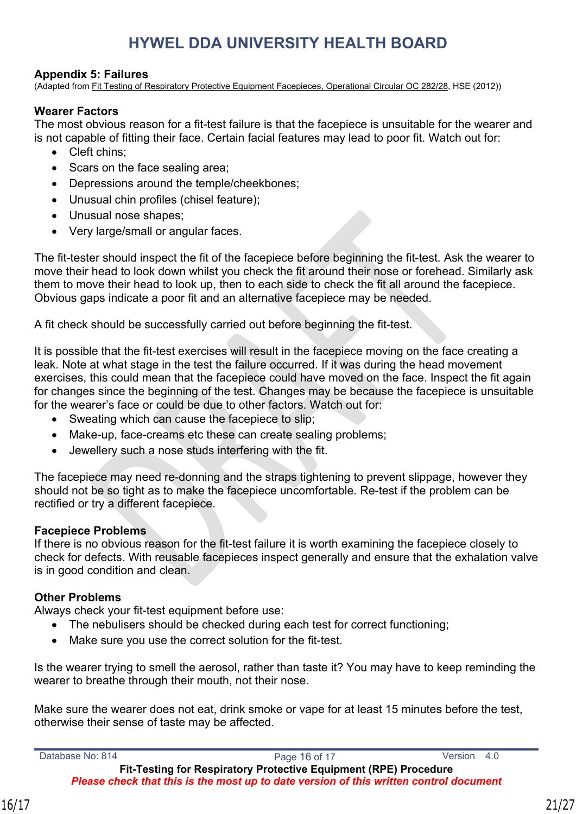#### <span id="page-20-0"></span>**Appendix 5: Failures**

(Adapted from Fit Testing of Respiratory Protective Equipment Facepieces, Operational Circular OC 282/28, HSE (2012))

#### **Wearer Factors**

The most obvious reason for a fit-test failure is that the facepiece is unsuitable for the wearer and is not capable of fitting their face. Certain facial features may lead to poor fit. Watch out for:

- Cleft chins:
- Scars on the face sealing area;
- Depressions around the temple/cheekbones;
- Unusual chin profiles (chisel feature);
- Unusual nose shapes;
- Very large/small or angular faces.

The fit-tester should inspect the fit of the facepiece before beginning the fit-test. Ask the wearer to move their head to look down whilst you check the fit around their nose or forehead. Similarly ask them to move their head to look up, then to each side to check the fit all around the facepiece. Obvious gaps indicate a poor fit and an alternative facepiece may be needed.

A fit check should be successfully carried out before beginning the fit-test.

It is possible that the fit-test exercises will result in the facepiece moving on the face creating a leak. Note at what stage in the test the failure occurred. If it was during the head movement exercises, this could mean that the facepiece could have moved on the face. Inspect the fit again for changes since the beginning of the test. Changes may be because the facepiece is unsuitable for the wearer's face or could be due to other factors. Watch out for:

- Sweating which can cause the facepiece to slip;
- Make-up, face-creams etc these can create sealing problems;
- Jewellery such a nose studs interfering with the fit.

The facepiece may need re-donning and the straps tightening to prevent slippage, however they should not be so tight as to make the facepiece uncomfortable. Re-test if the problem can be rectified or try a different facepiece.

#### **Facepiece Problems**

If there is no obvious reason for the fit-test failure it is worth examining the facepiece closely to check for defects. With reusable facepieces inspect generally and ensure that the exhalation valve is in good condition and clean.

#### **Other Problems**

Always check your fit-test equipment before use:

- The nebulisers should be checked during each test for correct functioning:
- Make sure you use the correct solution for the fit-test.

Is the wearer trying to smell the aerosol, rather than taste it? You may have to keep reminding the wearer to breathe through their mouth, not their nose.

Make sure the wearer does not eat, drink smoke or vape for at least 15 minutes before the test, otherwise their sense of taste may be affected.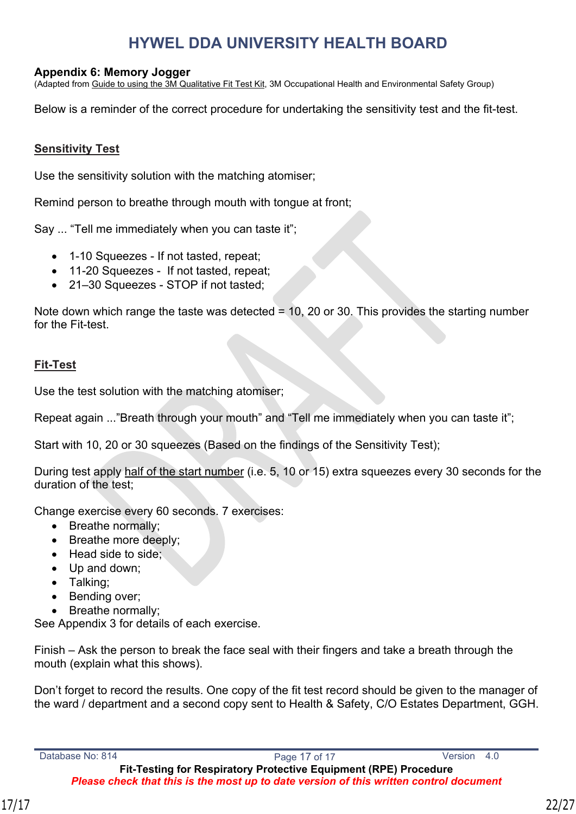#### <span id="page-21-0"></span>**Appendix 6: Memory Jogger**

(Adapted from Guide to using the 3M Qualitative Fit Test Kit, 3M Occupational Health and Environmental Safety Group)

Below is a reminder of the correct procedure for undertaking the sensitivity test and the fit-test.

#### **Sensitivity Test**

Use the sensitivity solution with the matching atomiser;

Remind person to breathe through mouth with tongue at front;

Say ... "Tell me immediately when you can taste it";

- 1-10 Squeezes If not tasted, repeat;
- 11-20 Squeezes If not tasted, repeat;
- 21–30 Squeezes STOP if not tasted;

Note down which range the taste was detected  $= 10$ , 20 or 30. This provides the starting number for the Fit-test.

#### **Fit-Test**

Use the test solution with the matching atomiser;

Repeat again ..."Breath through your mouth" and "Tell me immediately when you can taste it":

Start with 10, 20 or 30 squeezes (Based on the findings of the Sensitivity Test);

During test apply half of the start number (i.e. 5, 10 or 15) extra squeezes every 30 seconds for the duration of the test;

Change exercise every 60 seconds. 7 exercises:

- Breathe normally;
- Breathe more deeply;
- Head side to side;
- Up and down;
- Talking;
- Bending over;
- Breathe normally;

See Appendix 3 for details of each exercise.

Finish – Ask the person to break the face seal with their fingers and take a breath through the mouth (explain what this shows).

Don't forget to record the results. One copy of the fit test record should be given to the manager of the ward / department and a second copy sent to Health & Safety, C/O Estates Department, GGH.

**Fit-Testing for Respiratory Protective Equipment (RPE) Procedure** *Please check that this is the most up to date version of this written control document*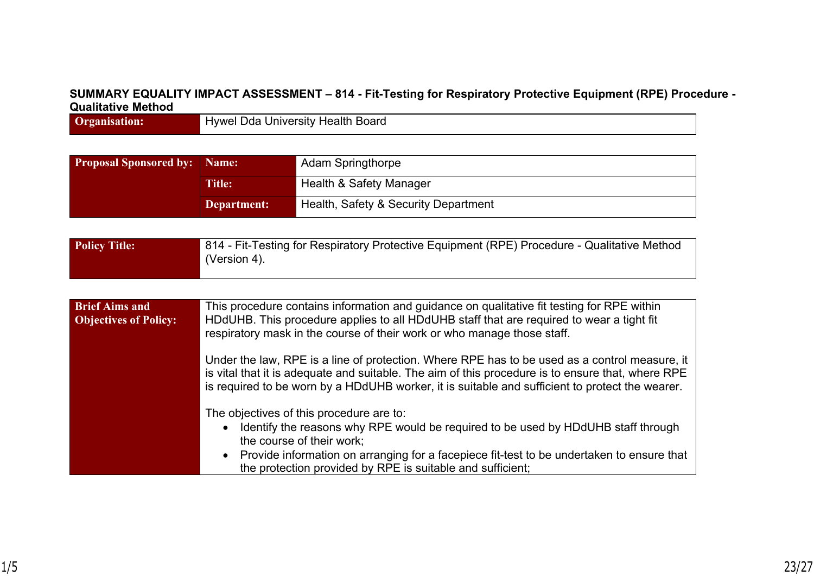### **SUMMARY EQUALITY IMPACT ASSESSMENT – 814 - Fit-Testing for Respiratory Protective Equipment (RPE) Procedure - Qualitative Method**

**Organisation:** Hywel Dda University Health Board

| <b>Proposal Sponsored by:</b> Name: |               | <b>Adam Springthorpe</b>             |
|-------------------------------------|---------------|--------------------------------------|
|                                     | <b>Title:</b> | Health & Safety Manager              |
|                                     | Department:   | Health, Safety & Security Department |

| <b>Policy Title:</b> | 814 - Fit-Testing for Respiratory Protective Equipment (RPE) Procedure - Qualitative Method |
|----------------------|---------------------------------------------------------------------------------------------|
|                      | (Version 4).                                                                                |

| <b>Brief Aims and</b><br><b>Objectives of Policy:</b> | This procedure contains information and guidance on qualitative fit testing for RPE within<br>HDdUHB. This procedure applies to all HDdUHB staff that are required to wear a tight fit<br>respiratory mask in the course of their work or who manage those staff.                                                       |
|-------------------------------------------------------|-------------------------------------------------------------------------------------------------------------------------------------------------------------------------------------------------------------------------------------------------------------------------------------------------------------------------|
|                                                       | Under the law, RPE is a line of protection. Where RPE has to be used as a control measure, it<br>is vital that it is adequate and suitable. The aim of this procedure is to ensure that, where RPE<br>is required to be worn by a HDdUHB worker, it is suitable and sufficient to protect the wearer.                   |
|                                                       | The objectives of this procedure are to:<br>Identify the reasons why RPE would be required to be used by HDdUHB staff through<br>the course of their work;<br>• Provide information on arranging for a facepiece fit-test to be undertaken to ensure that<br>the protection provided by RPE is suitable and sufficient; |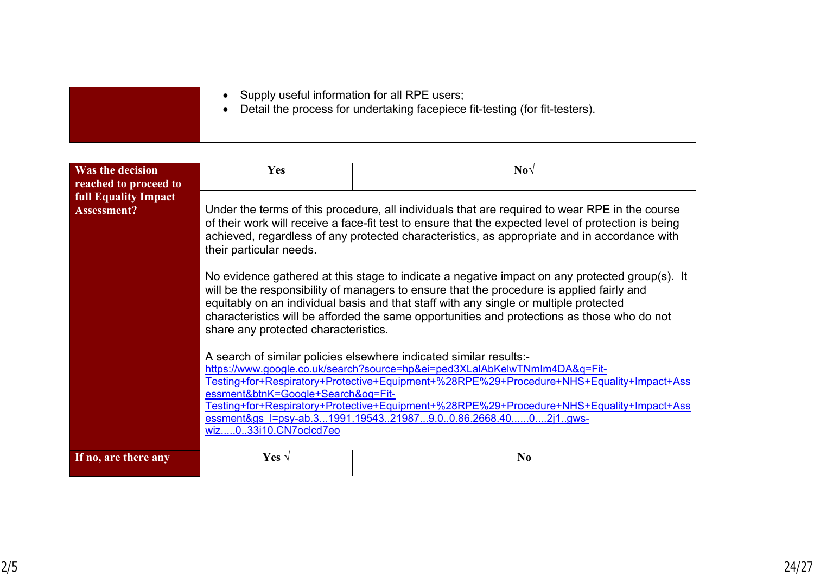| • Supply useful information for all RPE users;<br>Detail the process for undertaking facepiece fit-testing (for fit-testers). |
|-------------------------------------------------------------------------------------------------------------------------------|
|                                                                                                                               |

| <b>Was the decision</b><br>reached to proceed to  | Yes                                                                                                                                                                                                                                                                                                                                                                                                                                                                    | $\textbf{No}\sqrt{}$ |  |
|---------------------------------------------------|------------------------------------------------------------------------------------------------------------------------------------------------------------------------------------------------------------------------------------------------------------------------------------------------------------------------------------------------------------------------------------------------------------------------------------------------------------------------|----------------------|--|
| <b>full Equality Impact</b><br><b>Assessment?</b> | Under the terms of this procedure, all individuals that are required to wear RPE in the course<br>of their work will receive a face-fit test to ensure that the expected level of protection is being<br>achieved, regardless of any protected characteristics, as appropriate and in accordance with<br>their particular needs.                                                                                                                                       |                      |  |
|                                                   | No evidence gathered at this stage to indicate a negative impact on any protected group(s). It<br>will be the responsibility of managers to ensure that the procedure is applied fairly and<br>equitably on an individual basis and that staff with any single or multiple protected<br>characteristics will be afforded the same opportunities and protections as those who do not<br>share any protected characteristics.                                            |                      |  |
|                                                   | A search of similar policies elsewhere indicated similar results:-<br>https://www.google.co.uk/search?source=hp&ei=ped3XLalAbKelwTNmlm4DA&q=Fit-<br>Testing+for+Respiratory+Protective+Equipment+%28RPE%29+Procedure+NHS+Equality+Impact+Ass<br>essment&btnK=Google+Search&oq=Fit-<br>Testing+for+Respiratory+Protective+Equipment+%28RPE%29+Procedure+NHS+Equality+Impact+Ass<br>essment&gs l=psy-ab.31991.19543219879.00.86.2668.4002j1gws-<br>wiz033i10.CN7oclcd7eo |                      |  |
| If no, are there any                              | Yes $\sqrt{ }$                                                                                                                                                                                                                                                                                                                                                                                                                                                         | N <sub>0</sub>       |  |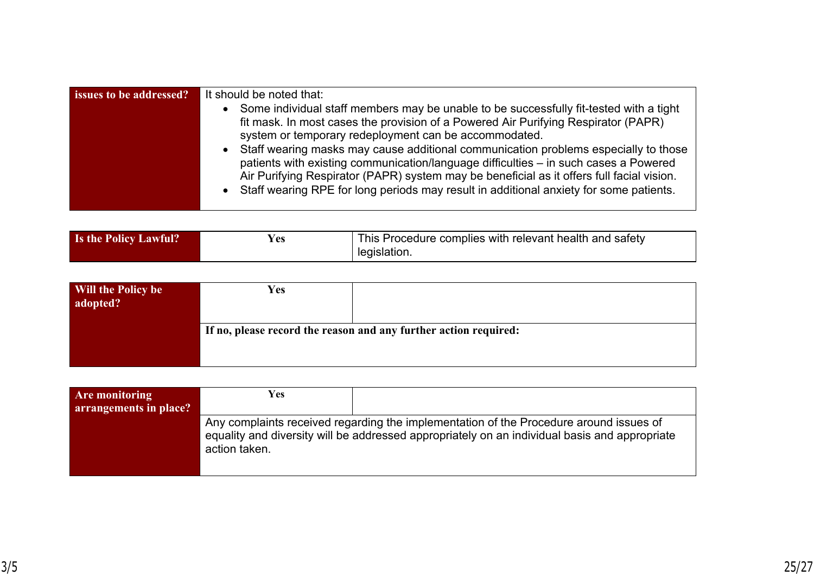| Some individual staff members may be unable to be successfully fit-tested with a tight<br>$\bullet$                                                                                                                                                                                                                                                                                                                                                                                                                                         | It should be noted that: |  |  |
|---------------------------------------------------------------------------------------------------------------------------------------------------------------------------------------------------------------------------------------------------------------------------------------------------------------------------------------------------------------------------------------------------------------------------------------------------------------------------------------------------------------------------------------------|--------------------------|--|--|
| fit mask. In most cases the provision of a Powered Air Purifying Respirator (PAPR)<br>system or temporary redeployment can be accommodated.<br>Staff wearing masks may cause additional communication problems especially to those<br>$\bullet$<br>patients with existing communication/language difficulties – in such cases a Powered<br>Air Purifying Respirator (PAPR) system may be beneficial as it offers full facial vision.<br>Staff wearing RPE for long periods may result in additional anxiety for some patients.<br>$\bullet$ |                          |  |  |

| <b>Is the Policy Lawful?</b> | Y es | This Procedure complies with relevant health and safety |
|------------------------------|------|---------------------------------------------------------|
|                              |      | legislation.                                            |

| Will the Policy be<br>adopted? | Yes |                                                                  |
|--------------------------------|-----|------------------------------------------------------------------|
|                                |     | If no, please record the reason and any further action required: |
|                                |     |                                                                  |

| Are monitoring<br>arrangements in place? | Yes           |                                                                                                                                                                                         |
|------------------------------------------|---------------|-----------------------------------------------------------------------------------------------------------------------------------------------------------------------------------------|
|                                          | action taken. | Any complaints received regarding the implementation of the Procedure around issues of<br>equality and diversity will be addressed appropriately on an individual basis and appropriate |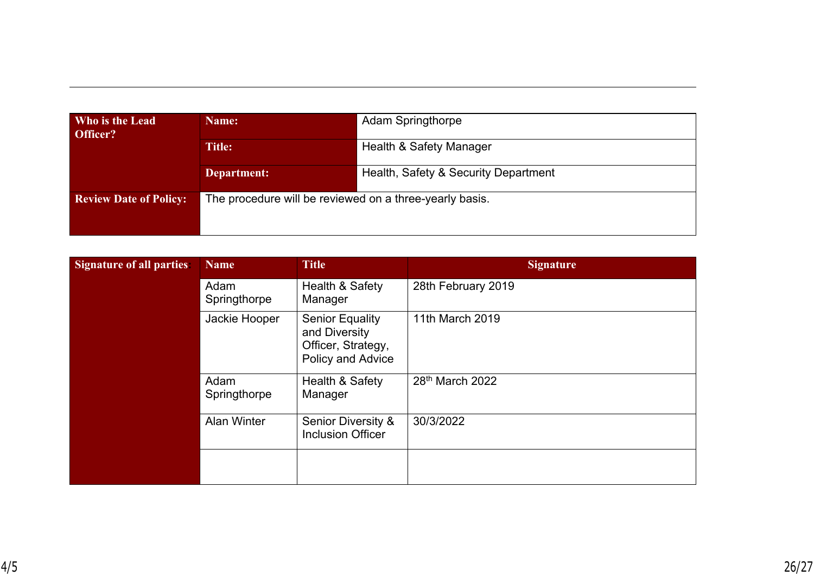| Who is the Lead<br>Officer?   | Name:                                                   | <b>Adam Springthorpe</b>             |  |
|-------------------------------|---------------------------------------------------------|--------------------------------------|--|
|                               | <b>Title:</b>                                           | Health & Safety Manager              |  |
|                               | Department:                                             | Health, Safety & Security Department |  |
| <b>Review Date of Policy:</b> | The procedure will be reviewed on a three-yearly basis. |                                      |  |

| <b>Signature of all parties:</b> | <b>Name</b>          | <b>Title</b>                                                                       | <b>Signature</b>   |
|----------------------------------|----------------------|------------------------------------------------------------------------------------|--------------------|
|                                  | Adam<br>Springthorpe | Health & Safety<br>Manager                                                         | 28th February 2019 |
|                                  | Jackie Hooper        | <b>Senior Equality</b><br>and Diversity<br>Officer, Strategy,<br>Policy and Advice | 11th March 2019    |
|                                  | Adam<br>Springthorpe | Health & Safety<br>Manager                                                         | 28th March 2022    |
|                                  | <b>Alan Winter</b>   | Senior Diversity &<br><b>Inclusion Officer</b>                                     | 30/3/2022          |
|                                  |                      |                                                                                    |                    |